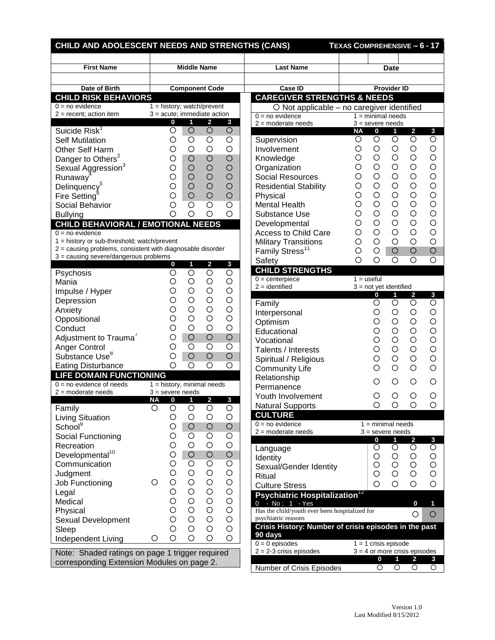| CHILD AND ADOLESCENT NEEDS AND STRENGTHS (CANS)                |                                |                       |                          |                                  |                           | TEXAS COMPREHENSIVE - 6 - 17                                            |             |              |                                                 |                            |                         |                     |
|----------------------------------------------------------------|--------------------------------|-----------------------|--------------------------|----------------------------------|---------------------------|-------------------------------------------------------------------------|-------------|--------------|-------------------------------------------------|----------------------------|-------------------------|---------------------|
|                                                                |                                |                       |                          |                                  |                           |                                                                         |             |              |                                                 |                            |                         |                     |
| <b>First Name</b>                                              | <b>Middle Name</b>             |                       |                          |                                  | <b>Last Name</b>          |                                                                         | <b>Date</b> |              |                                                 |                            |                         |                     |
|                                                                | <b>Component Code</b>          |                       |                          |                                  |                           |                                                                         |             |              |                                                 |                            |                         |                     |
| Date of Birth<br><b>CHILD RISK BEHAVIORS</b>                   |                                |                       |                          |                                  |                           | Case ID<br><b>Provider ID</b><br><b>CAREGIVER STRENGTHS &amp; NEEDS</b> |             |              |                                                 |                            |                         |                     |
| $0 = no$ evidence                                              | $1 = history$ ; watch/prevent  |                       |                          |                                  |                           |                                                                         |             |              |                                                 |                            |                         |                     |
| $2 =$ recent; action item                                      | $3 = acute$ ; immediate action |                       |                          |                                  |                           | O Not applicable - no caregiver identified<br>$0 = no$ evidence         |             |              |                                                 | $1 = minimal needs$        |                         |                     |
|                                                                |                                | 0                     | 1                        | $\overline{2}$                   | 3                         | $2 =$ moderate needs                                                    |             |              |                                                 | $3 =$ severe needs         |                         |                     |
| Suicide Risk <sup>1</sup>                                      |                                | $\circ$               | $\overline{O}$           | $\bigcirc$                       | $\circ$                   |                                                                         |             | <b>NA</b>    | $\bf{0}$                                        | $\mathbf{1}$               | $\overline{\mathbf{2}}$ | $\mathbf{3}$        |
| <b>Self Mutilation</b>                                         |                                | Ο                     | $\circ$                  | $\circ$                          | О                         | Supervision                                                             |             | O            | $\circ$                                         | $\bigcirc$                 | $\bigcirc$              | $\circ$             |
| Other Self Harm                                                |                                | Ο                     | $\circ$                  | $\circ$                          | $\circ$                   | Involvement                                                             |             | O            | $\circ$                                         | $\circ$                    | $\bigcirc$              | $\bigcirc$          |
| Danger to Others <sup>2</sup>                                  |                                | Ο                     | $\circ$                  | $\circ$                          | $\overline{O}$            | Knowledge                                                               |             | Ο            | $\circ$                                         | $\circ$                    | $\bigcirc$              | $\bigcirc$          |
| Sexual Aggression <sup>3</sup>                                 |                                | O                     | $\circ$                  | $\overline{O}$                   | $\circ$                   | Organization                                                            |             | О            | $\circ$<br>$\circ$                              | $\bigcirc$<br>$\circ$      | $\circ$<br>$\circ$      | $\circ$<br>$\circ$  |
| Runaway <sup>4</sup>                                           |                                | O                     | $\circ$                  | $\bigcirc$                       | $\bigcirc$                | <b>Social Resources</b>                                                 |             | О            | $\circ$                                         | $\circ$                    | $\circ$                 | $\circ$             |
| Delinquency <sup>5</sup>                                       |                                | О                     | $\circ$<br>$\circ$       | $\overline{O}$<br>$\overline{O}$ | $\bigcirc$<br>$\circ$     | <b>Residential Stability</b>                                            |             | O<br>О       | $\circ$                                         | $\circ$                    | $\circ$                 | $\circ$             |
| Fire Setting <sup>6</sup>                                      |                                | О                     | $\overline{O}$           | $\overline{O}$                   | $\overline{\bigcirc}$     | Physical<br><b>Mental Health</b>                                        |             | O            | $\circ$                                         | $\circ$                    | $\circ$                 | $\circ$             |
| Social Behavior                                                |                                | O                     | $\circ$                  | $\circ$                          | $\circ$                   | Substance Use                                                           |             | О            | $\circ$                                         | $\circ$                    | $\circ$                 | $\circ$             |
| <b>Bullying</b>                                                |                                | O                     |                          |                                  |                           |                                                                         |             | О            | $\circ$                                         | $\circ$                    | $\circ$                 | $\circ$             |
| <b>CHILD BEHAVIORAL / EMOTIONAL NEEDS</b><br>$0 = no$ evidence |                                |                       |                          |                                  |                           | Developmental<br>Access to Child Care                                   |             | Ο            | O                                               | $\circ$                    | $\circ$                 | $\circ$             |
| 1 = history or sub-threshold; watch/prevent                    |                                |                       |                          |                                  |                           | <b>Military Transitions</b>                                             |             | О            | $\circ$                                         | $\circ$                    | $\circ$                 | $\circ$             |
| 2 = causing problems, consistent with diagnosable disorder     |                                |                       |                          |                                  |                           | Family Stress <sup>11</sup>                                             |             | О            | $\circ$                                         | $\bigcirc$                 | $\bigcirc$              | $\bigcirc$          |
| 3 = causing severe/dangerous problems                          |                                |                       |                          |                                  |                           | Safety                                                                  |             | O            | O                                               | $\circ$                    | O                       | O                   |
|                                                                |                                | 0                     | 1                        | $\overline{\mathbf{2}}$          | $\mathbf{3}$              | <b>CHILD STRENGTHS</b>                                                  |             |              |                                                 |                            |                         |                     |
| Psychosis                                                      |                                | $\circ$<br>$\circ$    | $\circ$<br>$\circ$       | $\bigcirc$<br>$\circ$            | $\circ$<br>O              | $0 =$ centerpiece                                                       |             | $1 = useful$ |                                                 |                            |                         |                     |
| Mania                                                          |                                |                       | $\circ$                  | $\bigcirc$                       | $\bigcirc$                | $2 =$ identified                                                        |             |              |                                                 | $3 = not yet identified$   |                         |                     |
| Impulse / Hyper                                                |                                | О<br>O                | $\circ$                  | $\bigcirc$                       | $\bigcirc$                |                                                                         |             |              | 0                                               | 1                          | $\overline{2}$          | $\mathbf{3}$        |
| Depression                                                     |                                | Ο                     | $\circ$                  | $\circ$                          | $\bigcirc$                | Family                                                                  |             |              | $\circ$                                         | $\overline{O}$             | $\bigcirc$              | $\bigcirc$          |
| Anxiety<br>Oppositional                                        |                                | $\circ$               | $\bigcirc$               | $\circ$                          | $\bigcirc$                | Interpersonal                                                           |             |              | O                                               | $\bigcirc$                 | $\bigcirc$              | $\bigcirc$          |
| Conduct                                                        |                                | O                     | $\circ$                  | $\circ$                          | $\circ$                   | Optimism                                                                |             |              | O                                               | $\circ$                    | $\circ$                 | $\circ$             |
| Adjustment to Trauma <sup>'</sup>                              |                                | O                     | $\circ$                  | $\overline{O}$                   | $\overline{O}$            | Educational                                                             |             |              | $\circ$                                         | $\circ$                    | $\circ$                 | $\circ$             |
| <b>Anger Control</b>                                           |                                | O                     | $\overline{O}$           | $\overline{O}$                   | $\overline{O}$            | Vocational                                                              |             |              | О                                               | $\circ$                    | $\circ$                 | $\circ$             |
| Substance Use <sup>8</sup>                                     |                                | $\circ$               | $\bigcirc$               | $\bigcirc$                       | $\bigcirc$                | Talents / Interests                                                     |             |              | $\circ$                                         | $\circ$                    | $\circ$                 | $\circ$             |
| <b>Eating Disturbance</b>                                      |                                | $\circ$               | $\overline{O}$           | $\overline{O}$                   | $\overline{O}$            | Spiritual / Religious                                                   |             |              | O                                               | $\circ$<br>$\circ$         | $\circ$<br>$\circ$      | $\circ$             |
| <b>LIFE DOMAIN FUNCTIONING</b>                                 |                                |                       |                          |                                  |                           | <b>Community Life</b>                                                   |             |              | Ω                                               |                            |                         | $\circ$             |
| $0 = no$ evidence of needs                                     | $1 =$ history, minimal needs   |                       |                          |                                  |                           | Relationship                                                            |             |              | Ο                                               | $\circ$                    | О                       | O                   |
| $2 =$ moderate needs                                           | $3 =$ severe needs             |                       |                          |                                  |                           | Permanence<br>Youth Involvement                                         |             |              | $\circ$                                         | $\circ$                    | $\circ$                 | $\circ$             |
|                                                                |                                | 0                     |                          | 2                                | 3                         |                                                                         |             |              | O                                               | O                          | O                       | $\circ$             |
| Family                                                         | O                              | $\overline{O}$        | $\overline{O}$           | $\overline{O}$                   | $\overline{O}$            | <b>Natural Supports</b><br><b>CULTURE</b>                               |             |              |                                                 |                            |                         |                     |
| <b>Living Situation</b>                                        |                                | $\circ$               | $\circ$                  | $\bigcirc$                       | $\circ$                   | $0 = no$ evidence                                                       |             |              |                                                 | $1 = \text{minimal needs}$ |                         |                     |
| School <sup>9</sup>                                            |                                | $\circ$               | $\circ$                  | $\bigcirc$                       | $\circ$                   | $2 =$ moderate needs                                                    |             |              |                                                 | $3 =$ severe needs         |                         |                     |
| Social Functioning                                             |                                | Ο                     | O                        | $\bigcirc$                       | $\circ$                   |                                                                         |             |              | 0                                               | 1                          | $\overline{\mathbf{2}}$ | 3                   |
| Recreation                                                     |                                | O                     | $\bigcirc$               | $\bigcirc$                       | $\circ$                   | Language                                                                |             |              | $\circ$                                         | $\overline{O}$             | $\circ$                 | $\circ$             |
| Developmental <sup>10</sup>                                    |                                | O                     | $\bigcirc$               | $\bigcirc$                       | $\bigcirc$                | Identity                                                                |             |              | $\circ$                                         | $\bigcirc$                 | $\circ$                 | $\bigcirc$          |
| Communication                                                  |                                | $\circ$               | $\bigcirc$               | $\bigcirc$                       | $\circ$                   | Sexual/Gender Identity                                                  |             |              | O                                               | $\circ$                    | $\circ$                 | $\bigcirc$          |
| Judgment                                                       | $\circ$                        | $\circ$<br>$\bigcirc$ | $\bigcirc$<br>$\bigcirc$ | $\bigcirc$<br>$\bigcirc$         | $\bigcirc$<br>$\bigcirc$  | Ritual                                                                  |             |              | $\circ$                                         | $\circ$                    | $\circ$                 | $\circ$             |
| Job Functioning                                                |                                | $\bigcirc$            | $\bigcirc$               | $\bigcirc$                       | $\bigcirc$                | <b>Culture Stress</b>                                                   |             |              | $\circ$                                         | O                          | $\circ$                 | $\circ$             |
| Legal<br>Medical                                               |                                | $\circ$               | $\bigcirc$               | $\bigcirc$                       | $\bigcirc$                | Psychiatric Hospitalization <sup>12</sup>                               |             |              |                                                 |                            |                         |                     |
| Physical                                                       |                                | $\circ$               | $\bigcirc$               | $\bigcirc$                       | $\circ$                   | 0 - No; 1 - Yes<br>Has the child/youth ever been hospitalized for       |             |              |                                                 |                            | $\pmb{0}$               | 1                   |
| Sexual Development                                             |                                | $\circ$               | $\bigcirc$               | $\bigcirc$                       | $\circ$                   | psychiatric reasons                                                     |             |              |                                                 |                            | O                       | $\bigcirc$          |
| Sleep                                                          |                                | $\circ$               | $\bigcirc$               | $\bigcirc$                       | $\bigcirc$                | Crisis History: Number of crisis episodes in the past                   |             |              |                                                 |                            |                         |                     |
| Independent Living                                             | O                              | O                     | O                        | $\circ$                          | O                         | 90 days                                                                 |             |              |                                                 |                            |                         |                     |
|                                                                |                                |                       |                          |                                  |                           | $0 = 0$ episodes                                                        |             |              |                                                 | $1 = 1$ crisis episode     |                         |                     |
| Note: Shaded ratings on page 1 trigger required                |                                |                       |                          |                                  | $2 = 2-3$ crisis episodes |                                                                         |             |              | $3 = 4$ or more crisis episodes<br>$\mathbf{1}$ | $\overline{2}$             |                         |                     |
| corresponding Extension Modules on page 2.                     |                                |                       |                          |                                  |                           | Number of Crisis Episodes                                               |             |              | 0<br>$\overline{\circ}$                         | $\overline{O}$             | $\overline{O}$          | 3<br>$\overline{O}$ |